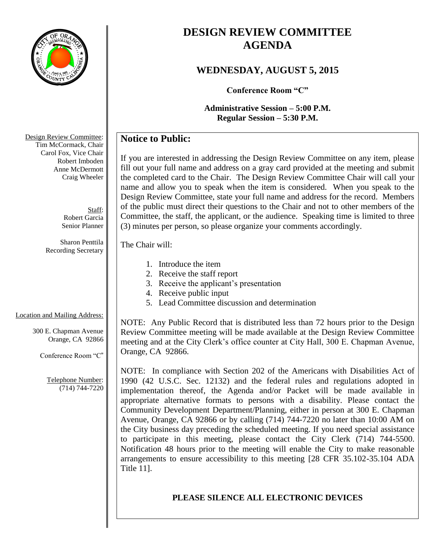

# **DESIGN REVIEW COMMITTEE AGENDA**

# **WEDNESDAY, AUGUST 5, 2015**

**Conference Room "C"**

**Administrative Session – 5:00 P.M. Regular Session – 5:30 P.M.**

# **Notice to Public:**

If you are interested in addressing the Design Review Committee on any item, please fill out your full name and address on a gray card provided at the meeting and submit the completed card to the Chair. The Design Review Committee Chair will call your name and allow you to speak when the item is considered. When you speak to the Design Review Committee, state your full name and address for the record. Members of the public must direct their questions to the Chair and not to other members of the Committee, the staff, the applicant, or the audience. Speaking time is limited to three (3) minutes per person, so please organize your comments accordingly.

### The Chair will:

- 1. Introduce the item
- 2. Receive the staff report
- 3. Receive the applicant's presentation
- 4. Receive public input
- 5. Lead Committee discussion and determination

# Location and Mailing Address:

300 E. Chapman Avenue Orange, CA 92866

Conference Room "C"

Telephone Number: (714) 744-7220

NOTE: Any Public Record that is distributed less than 72 hours prior to the Design Review Committee meeting will be made available at the Design Review Committee meeting and at the City Clerk's office counter at City Hall, 300 E. Chapman Avenue, Orange, CA 92866.

NOTE: In compliance with Section 202 of the Americans with Disabilities Act of 1990 (42 U.S.C. Sec. 12132) and the federal rules and regulations adopted in implementation thereof, the Agenda and/or Packet will be made available in appropriate alternative formats to persons with a disability. Please contact the Community Development Department/Planning, either in person at 300 E. Chapman Avenue, Orange, CA 92866 or by calling (714) 744-7220 no later than 10:00 AM on the City business day preceding the scheduled meeting. If you need special assistance to participate in this meeting, please contact the City Clerk (714) 744-5500. Notification 48 hours prior to the meeting will enable the City to make reasonable arrangements to ensure accessibility to this meeting [28 CFR 35.102-35.104 ADA Title 11].

# **PLEASE SILENCE ALL ELECTRONIC DEVICES**

Design Review Committee: Tim McCormack, Chair Carol Fox, Vice Chair Robert Imboden Anne McDermott Craig Wheeler

> Staff: Robert Garcia Senior Planner

Sharon Penttila Recording Secretary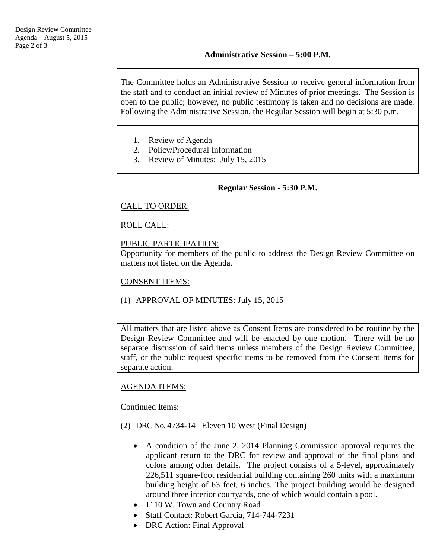The Committee holds an Administrative Session to receive general information from the staff and to conduct an initial review of Minutes of prior meetings. The Session is open to the public; however, no public testimony is taken and no decisions are made. Following the Administrative Session, the Regular Session will begin at 5:30 p.m.

- 1. Review of Agenda
- 2. Policy/Procedural Information
- 3. Review of Minutes: July 15, 2015

### **Regular Session - 5:30 P.M.**

CALL TO ORDER:

ROLL CALL:

### PUBLIC PARTICIPATION:

Opportunity for members of the public to address the Design Review Committee on matters not listed on the Agenda.

CONSENT ITEMS:

(1) APPROVAL OF MINUTES: July 15, 2015

All matters that are listed above as Consent Items are considered to be routine by the Design Review Committee and will be enacted by one motion. There will be no separate discussion of said items unless members of the Design Review Committee, staff, or the public request specific items to be removed from the Consent Items for separate action.

### AGENDA ITEMS:

Continued Items:

- (2) DRC No. 4734-14 –Eleven 10 West (Final Design)
	- A condition of the June 2, 2014 Planning Commission approval requires the applicant return to the DRC for review and approval of the final plans and colors among other details. The project consists of a 5-level, approximately 226,511 square-foot residential building containing 260 units with a maximum building height of 63 feet, 6 inches. The project building would be designed around three interior courtyards, one of which would contain a pool.
	- 1110 W. Town and Country Road
	- Staff Contact: Robert Garcia, 714-744-7231
	- DRC Action: Final Approval